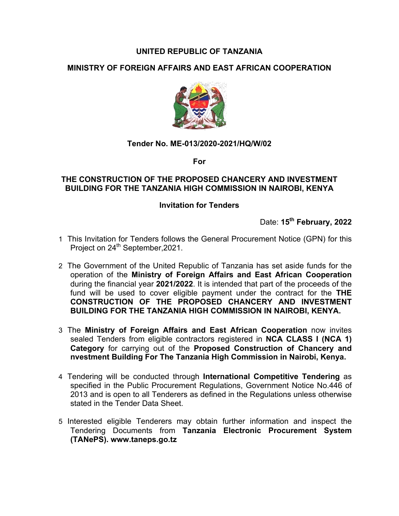# **UNITED REPUBLIC OF TANZANIA**

# **MINISTRY OF FOREIGN AFFAIRS AND EAST AFRICAN COOPERATION**



## **Tender No. ME-013/2020-2021/HQ/W/02**

**For**

### **THE CONSTRUCTION OF THE PROPOSED CHANCERY AND INVESTMENT BUILDING FOR THE TANZANIA HIGH COMMISSION IN NAIROBI, KENYA**

#### **Invitation for Tenders**

Date: **15th February, 2022**

- 1 This Invitation for Tenders follows the General Procurement Notice (GPN) for this Project on 24<sup>th</sup> September, 2021.
- 2 The Government of the United Republic of Tanzania has set aside funds for the operation of the **Ministry of Foreign Affairs and East African Cooperation** during the financial year **2021/2022**. It is intended that part of the proceeds of the fund will be used to cover eligible payment under the contract for the **THE CONSTRUCTION OF THE PROPOSED CHANCERY AND INVESTMENT BUILDING FOR THE TANZANIA HIGH COMMISSION IN NAIROBI, KENYA.**
- 3 The **Ministry of Foreign Affairs and East African Cooperation** now invites sealed Tenders from eligible contractors registered in **NCA CLASS I (NCA 1) Category** for carrying out of the **Proposed Construction of Chancery and nvestment Building For The Tanzania High Commission in Nairobi, Kenya.**
- 4 Tendering will be conducted through **International Competitive Tendering** as specified in the Public Procurement Regulations, Government Notice No.446 of 2013 and is open to all Tenderers as defined in the Regulations unless otherwise stated in the Tender Data Sheet.
- 5 Interested eligible Tenderers may obtain further information and inspect the Tendering Documents from **Tanzania Electronic Procurement System (TANePS). www.taneps.go.tz**